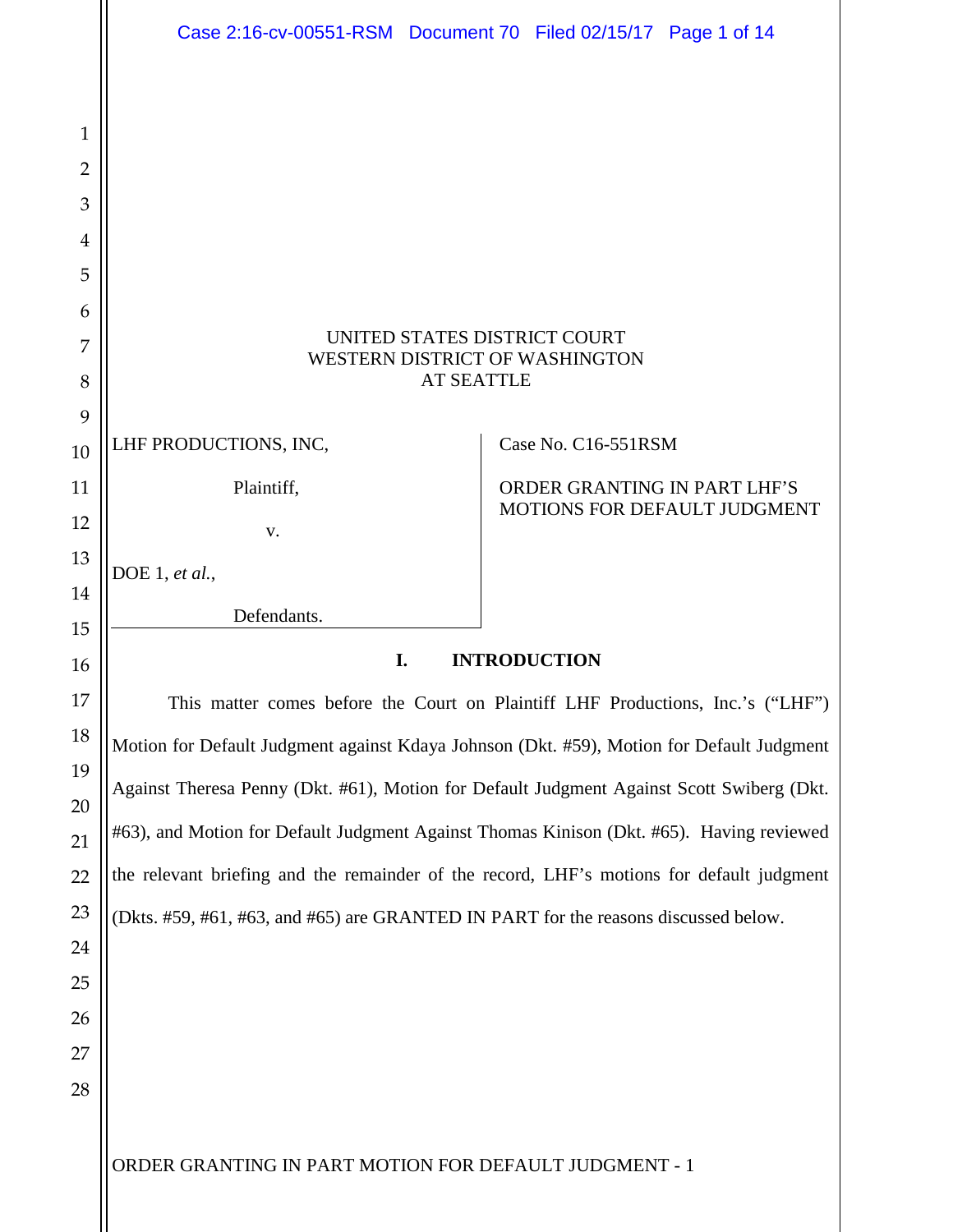<span id="page-0-0"></span>

|              | Case 2:16-cv-00551-RSM Document 70 Filed 02/15/17 Page 1 of 14                                                                                                                                                                                                            |  |                                                              |  |
|--------------|---------------------------------------------------------------------------------------------------------------------------------------------------------------------------------------------------------------------------------------------------------------------------|--|--------------------------------------------------------------|--|
|              |                                                                                                                                                                                                                                                                           |  |                                                              |  |
| $\mathbf{1}$ |                                                                                                                                                                                                                                                                           |  |                                                              |  |
| 2            |                                                                                                                                                                                                                                                                           |  |                                                              |  |
| 3            |                                                                                                                                                                                                                                                                           |  |                                                              |  |
| 4            |                                                                                                                                                                                                                                                                           |  |                                                              |  |
| 5            |                                                                                                                                                                                                                                                                           |  |                                                              |  |
| 6            |                                                                                                                                                                                                                                                                           |  |                                                              |  |
| 7            | UNITED STATES DISTRICT COURT<br>WESTERN DISTRICT OF WASHINGTON<br><b>AT SEATTLE</b>                                                                                                                                                                                       |  |                                                              |  |
| 8            |                                                                                                                                                                                                                                                                           |  |                                                              |  |
| 9            |                                                                                                                                                                                                                                                                           |  |                                                              |  |
| 10           | LHF PRODUCTIONS, INC,                                                                                                                                                                                                                                                     |  | Case No. C16-551RSM                                          |  |
| 11           | Plaintiff,                                                                                                                                                                                                                                                                |  | ORDER GRANTING IN PART LHF'S<br>MOTIONS FOR DEFAULT JUDGMENT |  |
| 12           | V.                                                                                                                                                                                                                                                                        |  |                                                              |  |
| 13           | DOE 1, et al.,                                                                                                                                                                                                                                                            |  |                                                              |  |
| 14           | Defendants.                                                                                                                                                                                                                                                               |  |                                                              |  |
| 15           |                                                                                                                                                                                                                                                                           |  |                                                              |  |
| 16           | I.<br><b>INTRODUCTION</b>                                                                                                                                                                                                                                                 |  |                                                              |  |
| 17           | This matter comes before the Court on Plaintiff LHF Productions, Inc.'s ("LHF")<br>Motion for Default Judgment against Kdaya Johnson (Dkt. #59), Motion for Default Judgment<br>Against Theresa Penny (Dkt. #61), Motion for Default Judgment Against Scott Swiberg (Dkt. |  |                                                              |  |
| 18           |                                                                                                                                                                                                                                                                           |  |                                                              |  |
| 19           |                                                                                                                                                                                                                                                                           |  |                                                              |  |
| 20           | #63), and Motion for Default Judgment Against Thomas Kinison (Dkt. #65). Having reviewed                                                                                                                                                                                  |  |                                                              |  |
| 21           | the relevant briefing and the remainder of the record, LHF's motions for default judgment                                                                                                                                                                                 |  |                                                              |  |
| 22<br>23     |                                                                                                                                                                                                                                                                           |  |                                                              |  |
| 24           | (Dkts. #59, #61, #63, and #65) are GRANTED IN PART for the reasons discussed below.                                                                                                                                                                                       |  |                                                              |  |
| 25           |                                                                                                                                                                                                                                                                           |  |                                                              |  |
| 26           |                                                                                                                                                                                                                                                                           |  |                                                              |  |
| 27           |                                                                                                                                                                                                                                                                           |  |                                                              |  |
| 28           |                                                                                                                                                                                                                                                                           |  |                                                              |  |
|              |                                                                                                                                                                                                                                                                           |  |                                                              |  |
|              | ORDER GRANTING IN PART MOTION FOR DEFAULT JUDGMENT - 1                                                                                                                                                                                                                    |  |                                                              |  |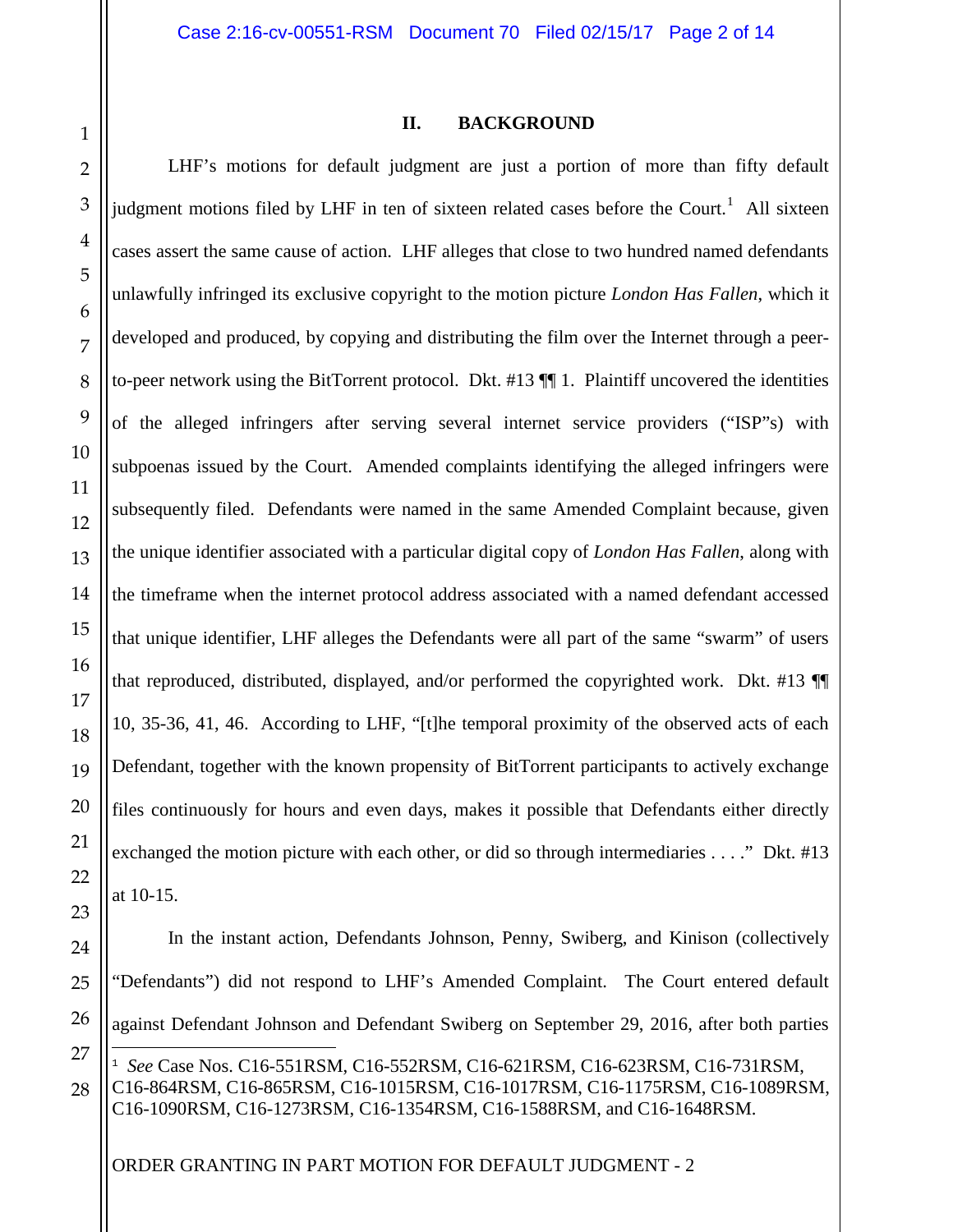26

<span id="page-1-0"></span>27

28

### **II. BACKGROUND**

LHF's motions for default judgment are just a portion of more than fifty default judgment motions filed by LHF in ten of sixteen related cases before the Court.<sup>[1](#page-0-0)</sup> All sixteen cases assert the same cause of action. LHF alleges that close to two hundred named defendants unlawfully infringed its exclusive copyright to the motion picture *London Has Fallen*, which it developed and produced, by copying and distributing the film over the Internet through a peerto-peer network using the BitTorrent protocol. Dkt. #13 ¶¶ 1. Plaintiff uncovered the identities of the alleged infringers after serving several internet service providers ("ISP"s) with subpoenas issued by the Court. Amended complaints identifying the alleged infringers were subsequently filed. Defendants were named in the same Amended Complaint because, given the unique identifier associated with a particular digital copy of *London Has Fallen*, along with the timeframe when the internet protocol address associated with a named defendant accessed that unique identifier, LHF alleges the Defendants were all part of the same "swarm" of users that reproduced, distributed, displayed, and/or performed the copyrighted work. Dkt. #13 ¶¶ 10, 35-36, 41, 46. According to LHF, "[t]he temporal proximity of the observed acts of each Defendant, together with the known propensity of BitTorrent participants to actively exchange files continuously for hours and even days, makes it possible that Defendants either directly exchanged the motion picture with each other, or did so through intermediaries . . . ." Dkt. #13 at 10-15.

In the instant action, Defendants Johnson, Penny, Swiberg, and Kinison (collectively "Defendants") did not respond to LHF's Amended Complaint. The Court entered default against Defendant Johnson and Defendant Swiberg on September 29, 2016, after both parties Ξ <sup>1</sup> *See* Case Nos. C16-551RSM, C16-552RSM, C16-621RSM, C16-623RSM, C16-731RSM, C16-864RSM, C16-865RSM, C16-1015RSM, C16-1017RSM, C16-1175RSM, C16-1089RSM,

ORDER GRANTING IN PART MOTION FOR DEFAULT JUDGMENT - 2

C16-1090RSM, C16-1273RSM, C16-1354RSM, C16-1588RSM, and C16-1648RSM.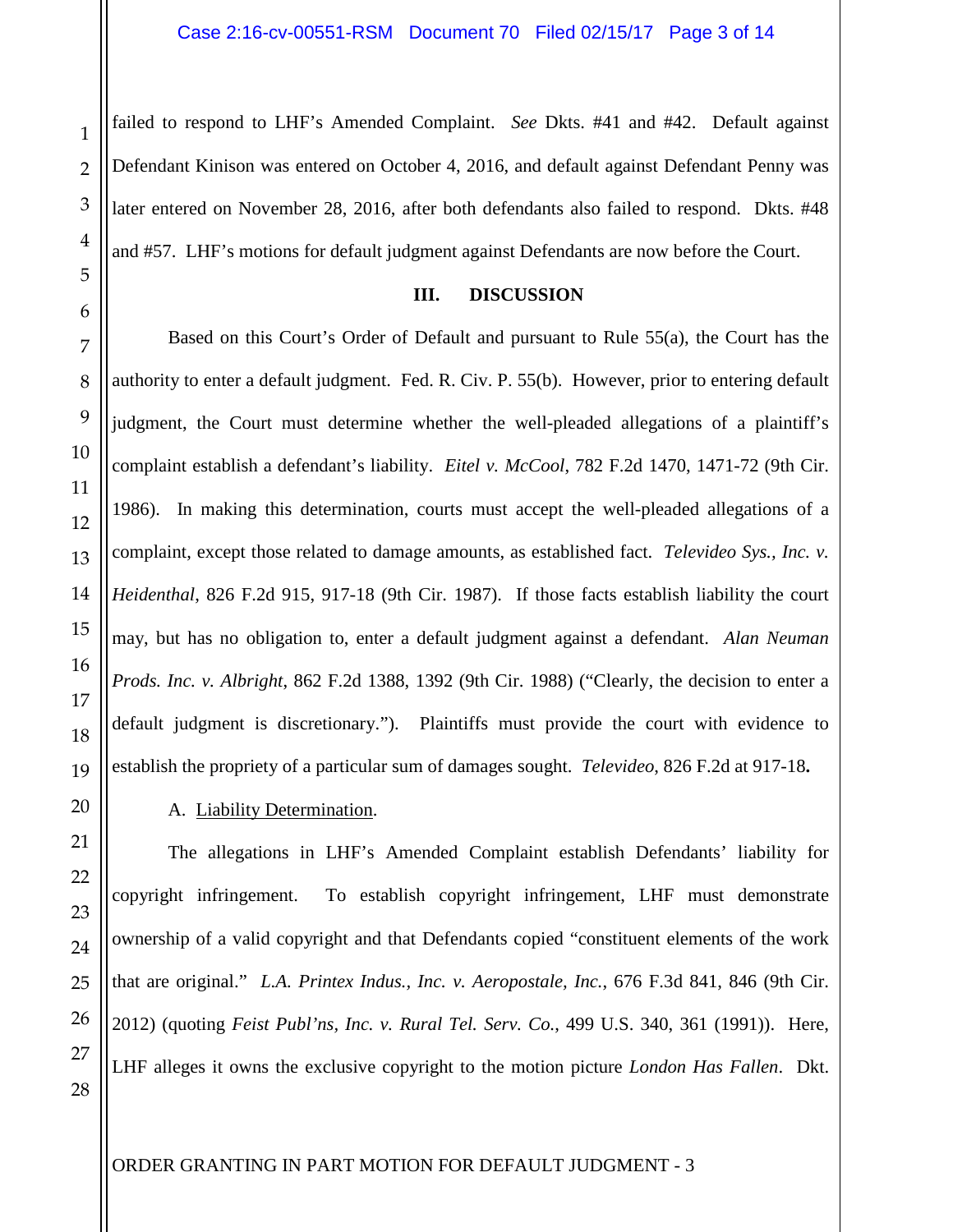failed to respond to LHF's Amended Complaint. *See* Dkts. #41 and #42. Default against Defendant Kinison was entered on October 4, 2016, and default against Defendant Penny was later entered on November 28, 2016, after both defendants also failed to respond. Dkts. #48 and #57. LHF's motions for default judgment against Defendants are now before the Court.

#### **III. DISCUSSION**

Based on this Court's Order of Default and pursuant to Rule 55(a), the Court has the authority to enter a default judgment. Fed. R. Civ. P. 55(b). However, prior to entering default judgment, the Court must determine whether the well-pleaded allegations of a plaintiff's complaint establish a defendant's liability. *Eitel v. McCool*, 782 F.2d 1470, 1471-72 (9th Cir. 1986). In making this determination, courts must accept the well-pleaded allegations of a complaint, except those related to damage amounts, as established fact. *Televideo Sys., Inc. v. Heidenthal*, 826 F.2d 915, 917-18 (9th Cir. 1987). If those facts establish liability the court may, but has no obligation to, enter a default judgment against a defendant. *Alan Neuman Prods. Inc. v. Albright*, 862 F.2d 1388, 1392 (9th Cir. 1988) ("Clearly, the decision to enter a default judgment is discretionary."). Plaintiffs must provide the court with evidence to establish the propriety of a particular sum of damages sought. *Televideo*, 826 F.2d at 917-18**.** 

## A. Liability Determination.

The allegations in LHF's Amended Complaint establish Defendants' liability for copyright infringement. To establish copyright infringement, LHF must demonstrate ownership of a valid copyright and that Defendants copied "constituent elements of the work that are original." *L.A. Printex Indus., Inc. v. Aeropostale, Inc.*, 676 F.3d 841, 846 (9th Cir. 2012) (quoting *Feist Publ'ns, Inc. v. Rural Tel. Serv. Co.*, 499 U.S. 340, 361 (1991)). Here, LHF alleges it owns the exclusive copyright to the motion picture *London Has Fallen*. Dkt.

1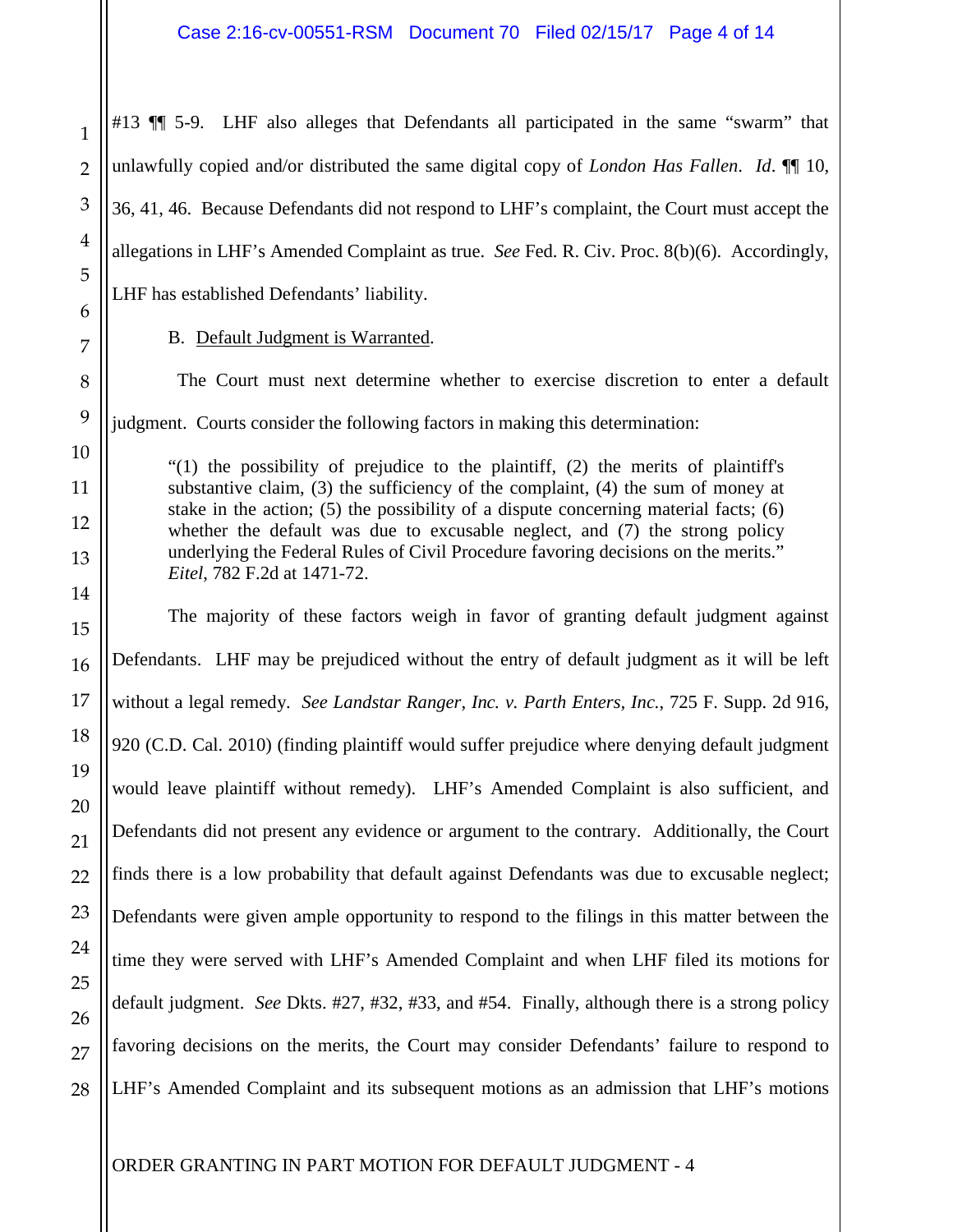#13 ¶¶ 5-9. LHF also alleges that Defendants all participated in the same "swarm" that unlawfully copied and/or distributed the same digital copy of *London Has Fallen*. *Id*. ¶¶ 10, 36, 41, 46. Because Defendants did not respond to LHF's complaint, the Court must accept the allegations in LHF's Amended Complaint as true. *See* Fed. R. Civ. Proc. 8(b)(6). Accordingly, LHF has established Defendants' liability.

B. Default Judgment is Warranted.

 The Court must next determine whether to exercise discretion to enter a default judgment. Courts consider the following factors in making this determination:

"(1) the possibility of prejudice to the plaintiff, (2) the merits of plaintiff's substantive claim, (3) the sufficiency of the complaint, (4) the sum of money at stake in the action; (5) the possibility of a dispute concerning material facts; (6) whether the default was due to excusable neglect, and (7) the strong policy underlying the Federal Rules of Civil Procedure favoring decisions on the merits." *Eitel*, 782 F.2d at 1471-72.

The majority of these factors weigh in favor of granting default judgment against Defendants. LHF may be prejudiced without the entry of default judgment as it will be left without a legal remedy. *See Landstar Ranger, Inc. v. Parth Enters, Inc.*, 725 F. Supp. 2d 916, 920 (C.D. Cal. 2010) (finding plaintiff would suffer prejudice where denying default judgment would leave plaintiff without remedy). LHF's Amended Complaint is also sufficient, and Defendants did not present any evidence or argument to the contrary. Additionally, the Court finds there is a low probability that default against Defendants was due to excusable neglect; Defendants were given ample opportunity to respond to the filings in this matter between the time they were served with LHF's Amended Complaint and when LHF filed its motions for default judgment. *See* Dkts. #27, #32, #33, and #54. Finally, although there is a strong policy favoring decisions on the merits, the Court may consider Defendants' failure to respond to LHF's Amended Complaint and its subsequent motions as an admission that LHF's motions

1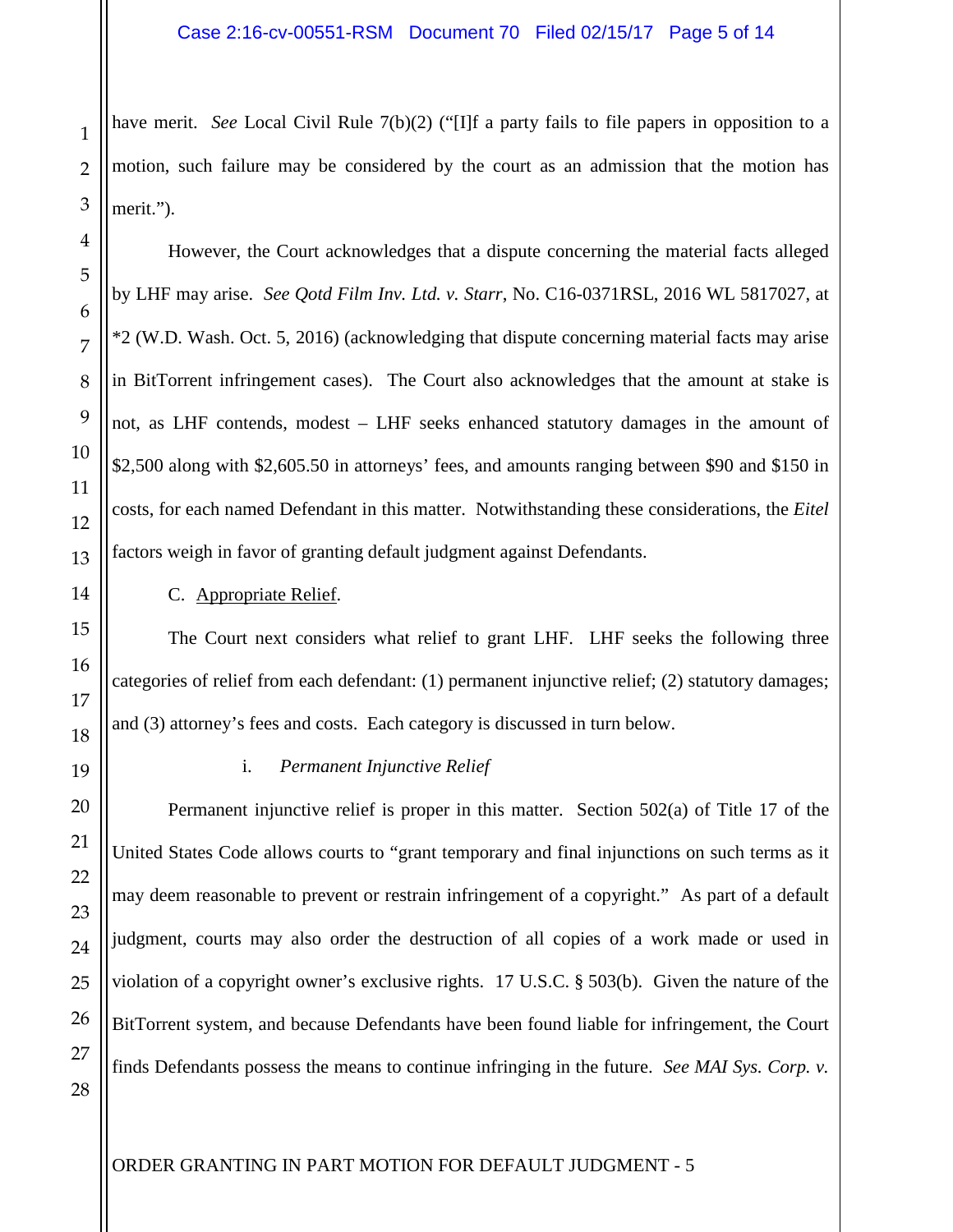have merit. *See* Local Civil Rule 7(b)(2) ("IIf a party fails to file papers in opposition to a motion, such failure may be considered by the court as an admission that the motion has merit.").

However, the Court acknowledges that a dispute concerning the material facts alleged by LHF may arise. *See Qotd Film Inv. Ltd. v. Starr*, No. C16-0371RSL, 2016 WL 5817027, at \*2 (W.D. Wash. Oct. 5, 2016) (acknowledging that dispute concerning material facts may arise in BitTorrent infringement cases). The Court also acknowledges that the amount at stake is not, as LHF contends, modest – LHF seeks enhanced statutory damages in the amount of \$2,500 along with \$2,605.50 in attorneys' fees, and amounts ranging between \$90 and \$150 in costs, for each named Defendant in this matter. Notwithstanding these considerations, the *Eitel* factors weigh in favor of granting default judgment against Defendants.

C. Appropriate Relief.

The Court next considers what relief to grant LHF. LHF seeks the following three categories of relief from each defendant: (1) permanent injunctive relief; (2) statutory damages; and (3) attorney's fees and costs. Each category is discussed in turn below.

i. *Permanent Injunctive Relief*

Permanent injunctive relief is proper in this matter. Section 502(a) of Title 17 of the United States Code allows courts to "grant temporary and final injunctions on such terms as it may deem reasonable to prevent or restrain infringement of a copyright." As part of a default judgment, courts may also order the destruction of all copies of a work made or used in violation of a copyright owner's exclusive rights. 17 U.S.C. § 503(b). Given the nature of the BitTorrent system, and because Defendants have been found liable for infringement, the Court finds Defendants possess the means to continue infringing in the future. *See MAI Sys. Corp. v.* 

1

2

3

4

5

6

7

8

9

10

11

12

13

14

15

16

17

18

19

20

21

22

23

24

25

26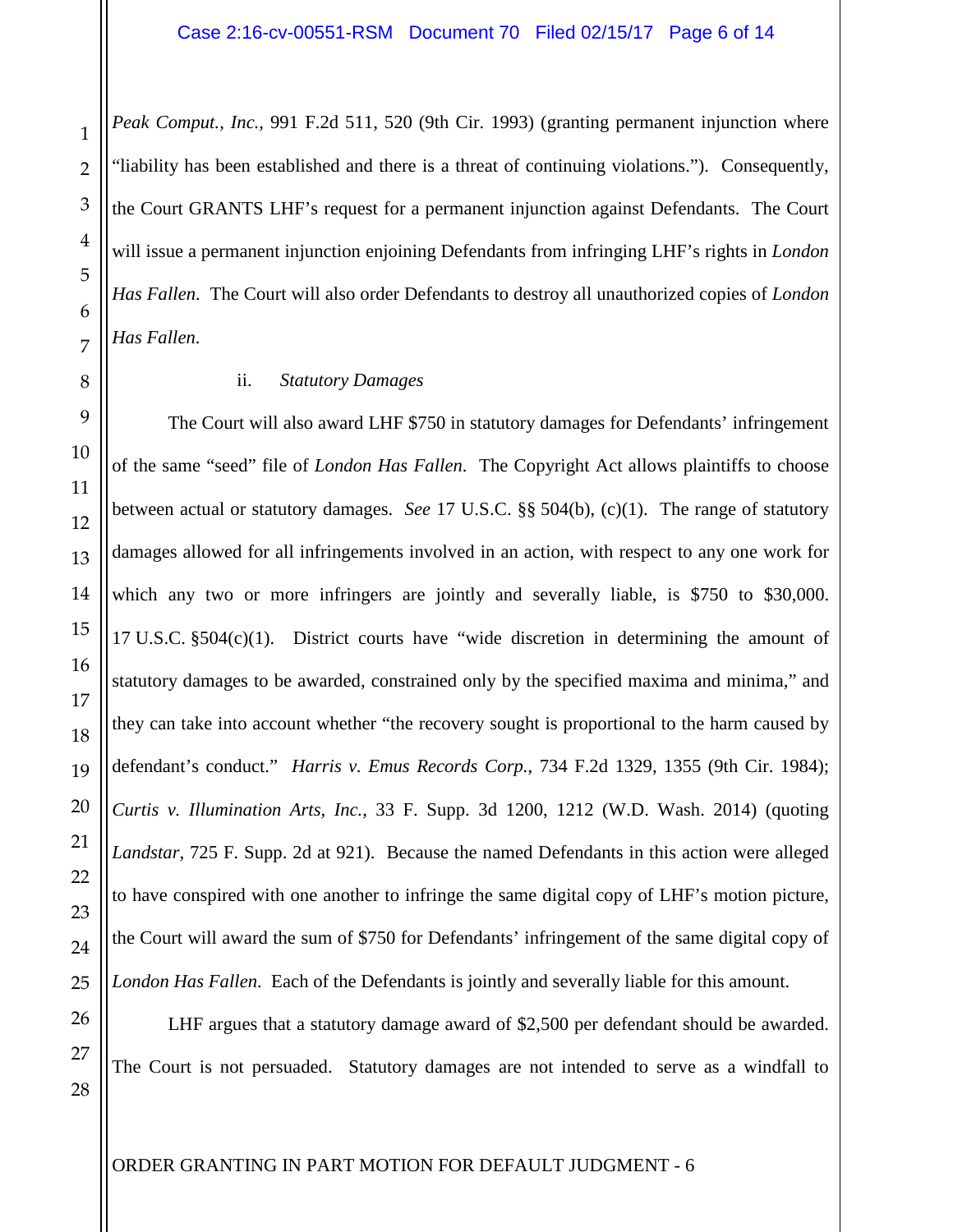*Peak Comput., Inc.*, 991 F.2d 511, 520 (9th Cir. 1993) (granting permanent injunction where "liability has been established and there is a threat of continuing violations."). Consequently, the Court GRANTS LHF's request for a permanent injunction against Defendants. The Court will issue a permanent injunction enjoining Defendants from infringing LHF's rights in *London Has Fallen*. The Court will also order Defendants to destroy all unauthorized copies of *London Has Fallen*.

# ii. *Statutory Damages*

The Court will also award LHF \$750 in statutory damages for Defendants' infringement of the same "seed" file of *London Has Fallen*. The Copyright Act allows plaintiffs to choose between actual or statutory damages. *See* 17 U.S.C. §§ 504(b), (c)(1). The range of statutory damages allowed for all infringements involved in an action, with respect to any one work for which any two or more infringers are jointly and severally liable, is \$750 to \$30,000. 17 U.S.C. §504(c)(1). District courts have "wide discretion in determining the amount of statutory damages to be awarded, constrained only by the specified maxima and minima," and they can take into account whether "the recovery sought is proportional to the harm caused by defendant's conduct." *Harris v. Emus Records Corp.*, 734 F.2d 1329, 1355 (9th Cir. 1984); *Curtis v. Illumination Arts, Inc.*, 33 F. Supp. 3d 1200, 1212 (W.D. Wash. 2014) (quoting *Landstar*, 725 F. Supp. 2d at 921). Because the named Defendants in this action were alleged to have conspired with one another to infringe the same digital copy of LHF's motion picture, the Court will award the sum of \$750 for Defendants' infringement of the same digital copy of *London Has Fallen*. Each of the Defendants is jointly and severally liable for this amount.

LHF argues that a statutory damage award of \$2,500 per defendant should be awarded. The Court is not persuaded. Statutory damages are not intended to serve as a windfall to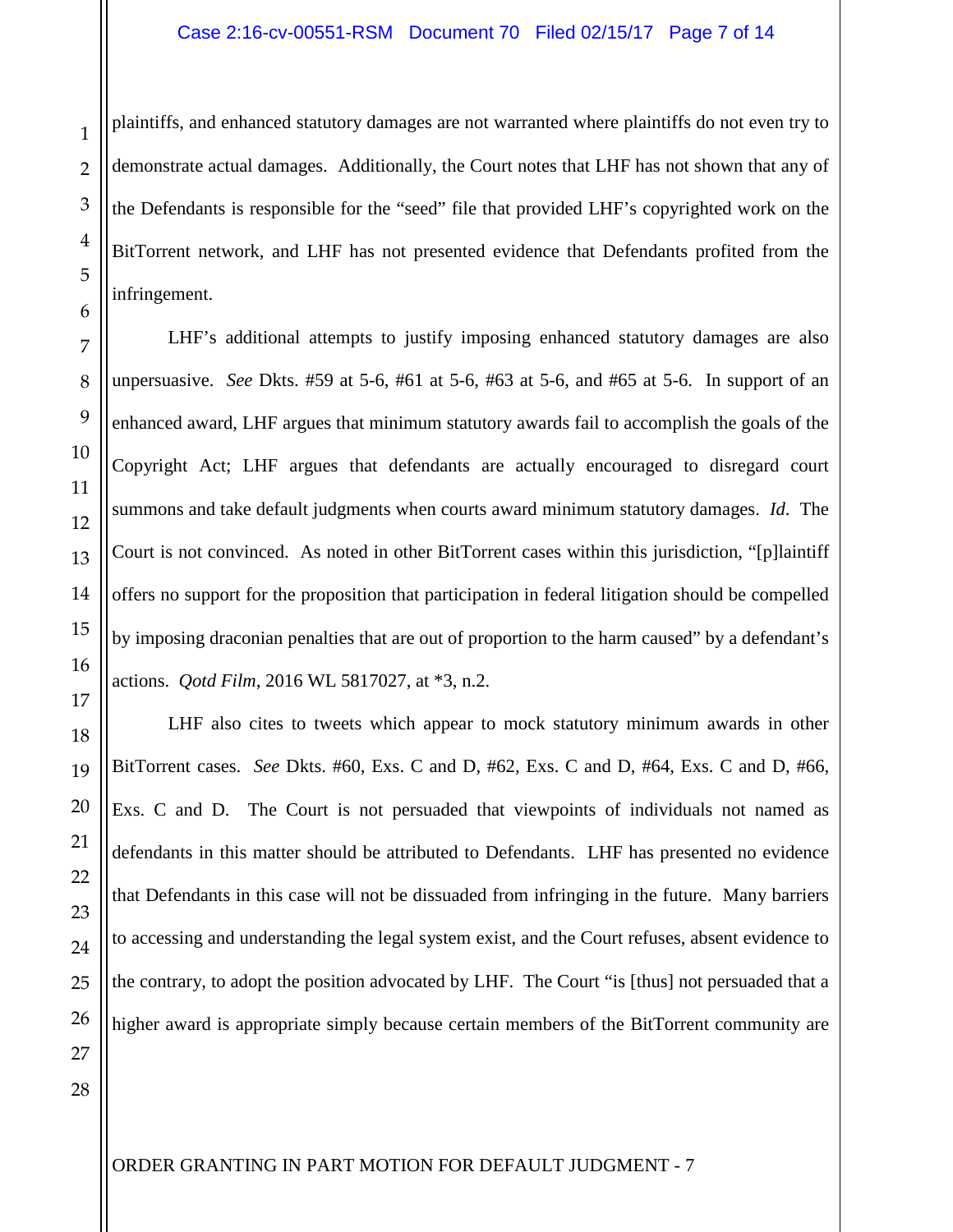#### Case 2:16-cv-00551-RSM Document 70 Filed 02/15/17 Page 7 of 14

plaintiffs, and enhanced statutory damages are not warranted where plaintiffs do not even try to demonstrate actual damages. Additionally, the Court notes that LHF has not shown that any of the Defendants is responsible for the "seed" file that provided LHF's copyrighted work on the BitTorrent network, and LHF has not presented evidence that Defendants profited from the infringement.

LHF's additional attempts to justify imposing enhanced statutory damages are also unpersuasive. *See* Dkts. #59 at 5-6, #61 at 5-6, #63 at 5-6, and #65 at 5-6. In support of an enhanced award, LHF argues that minimum statutory awards fail to accomplish the goals of the Copyright Act; LHF argues that defendants are actually encouraged to disregard court summons and take default judgments when courts award minimum statutory damages. *Id*. The Court is not convinced. As noted in other BitTorrent cases within this jurisdiction, "[p]laintiff offers no support for the proposition that participation in federal litigation should be compelled by imposing draconian penalties that are out of proportion to the harm caused" by a defendant's actions. *Qotd Film*, 2016 WL 5817027, at \*3, n.2.

LHF also cites to tweets which appear to mock statutory minimum awards in other BitTorrent cases. *See* Dkts. #60, Exs. C and D, #62, Exs. C and D, #64, Exs. C and D, #66, Exs. C and D. The Court is not persuaded that viewpoints of individuals not named as defendants in this matter should be attributed to Defendants. LHF has presented no evidence that Defendants in this case will not be dissuaded from infringing in the future. Many barriers to accessing and understanding the legal system exist, and the Court refuses, absent evidence to the contrary, to adopt the position advocated by LHF. The Court "is [thus] not persuaded that a higher award is appropriate simply because certain members of the BitTorrent community are

1

2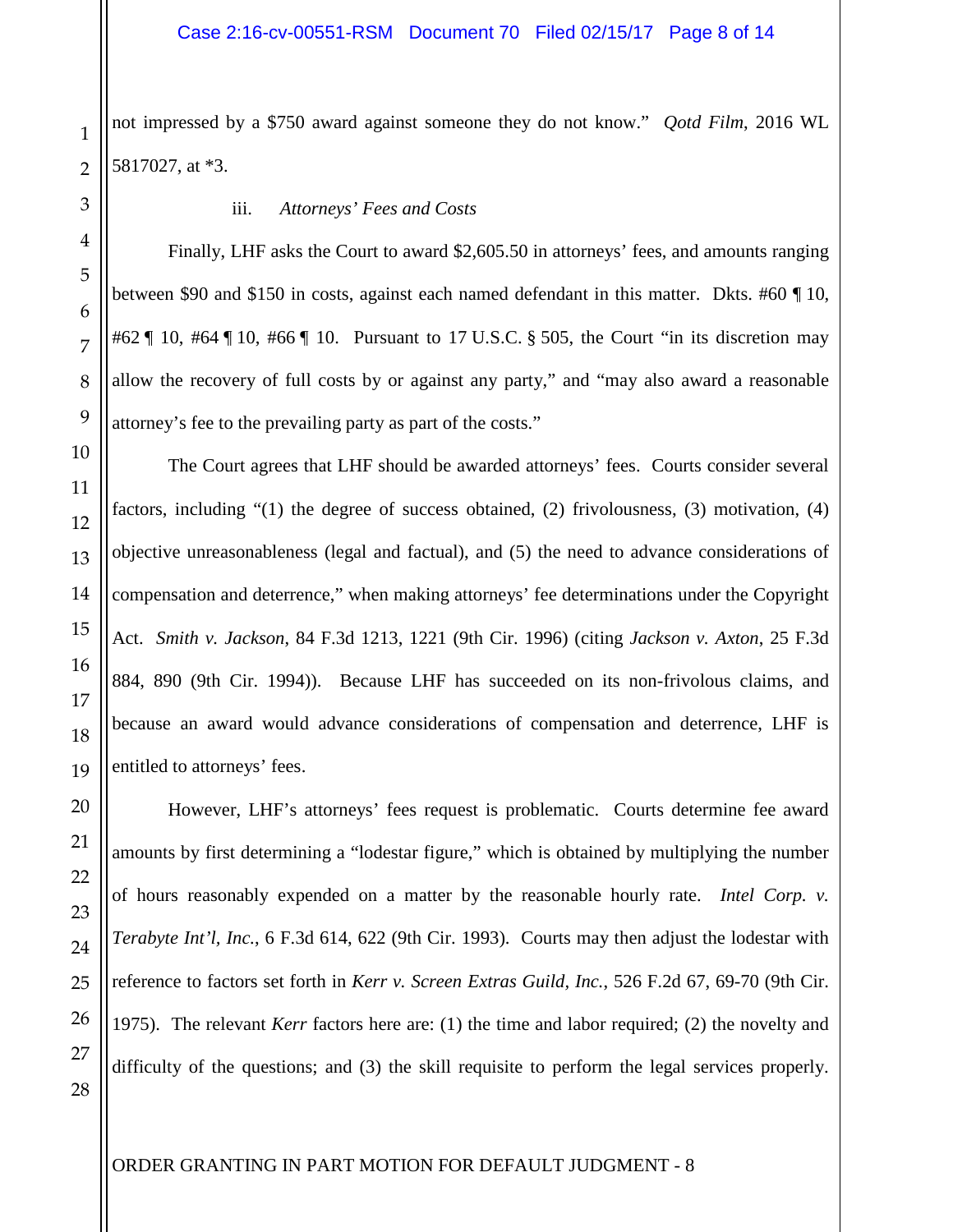not impressed by a \$750 award against someone they do not know." *Qotd Film*, 2016 WL 5817027, at \*3.

### iii. *Attorneys' Fees and Costs*

Finally, LHF asks the Court to award \$2,605.50 in attorneys' fees, and amounts ranging between \$90 and \$150 in costs, against each named defendant in this matter. Dkts. #60 ¶ 10, #62 ¶ 10, #64 ¶ 10, #66 ¶ 10. Pursuant to 17 U.S.C. § 505, the Court "in its discretion may allow the recovery of full costs by or against any party," and "may also award a reasonable attorney's fee to the prevailing party as part of the costs."

The Court agrees that LHF should be awarded attorneys' fees. Courts consider several factors, including "(1) the degree of success obtained, (2) frivolousness, (3) motivation, (4) objective unreasonableness (legal and factual), and (5) the need to advance considerations of compensation and deterrence," when making attorneys' fee determinations under the Copyright Act. *Smith v. Jackson*, 84 F.3d 1213, 1221 (9th Cir. 1996) (citing *Jackson v. Axton*, 25 F.3d 884, 890 (9th Cir. 1994)). Because LHF has succeeded on its non-frivolous claims, and because an award would advance considerations of compensation and deterrence, LHF is entitled to attorneys' fees.

However, LHF's attorneys' fees request is problematic. Courts determine fee award amounts by first determining a "lodestar figure," which is obtained by multiplying the number of hours reasonably expended on a matter by the reasonable hourly rate. *Intel Corp. v. Terabyte Int'l, Inc.*, 6 F.3d 614, 622 (9th Cir. 1993). Courts may then adjust the lodestar with reference to factors set forth in *Kerr v. Screen Extras Guild, Inc.*, 526 F.2d 67, 69-70 (9th Cir. 1975). The relevant *Kerr* factors here are: (1) the time and labor required; (2) the novelty and difficulty of the questions; and (3) the skill requisite to perform the legal services properly.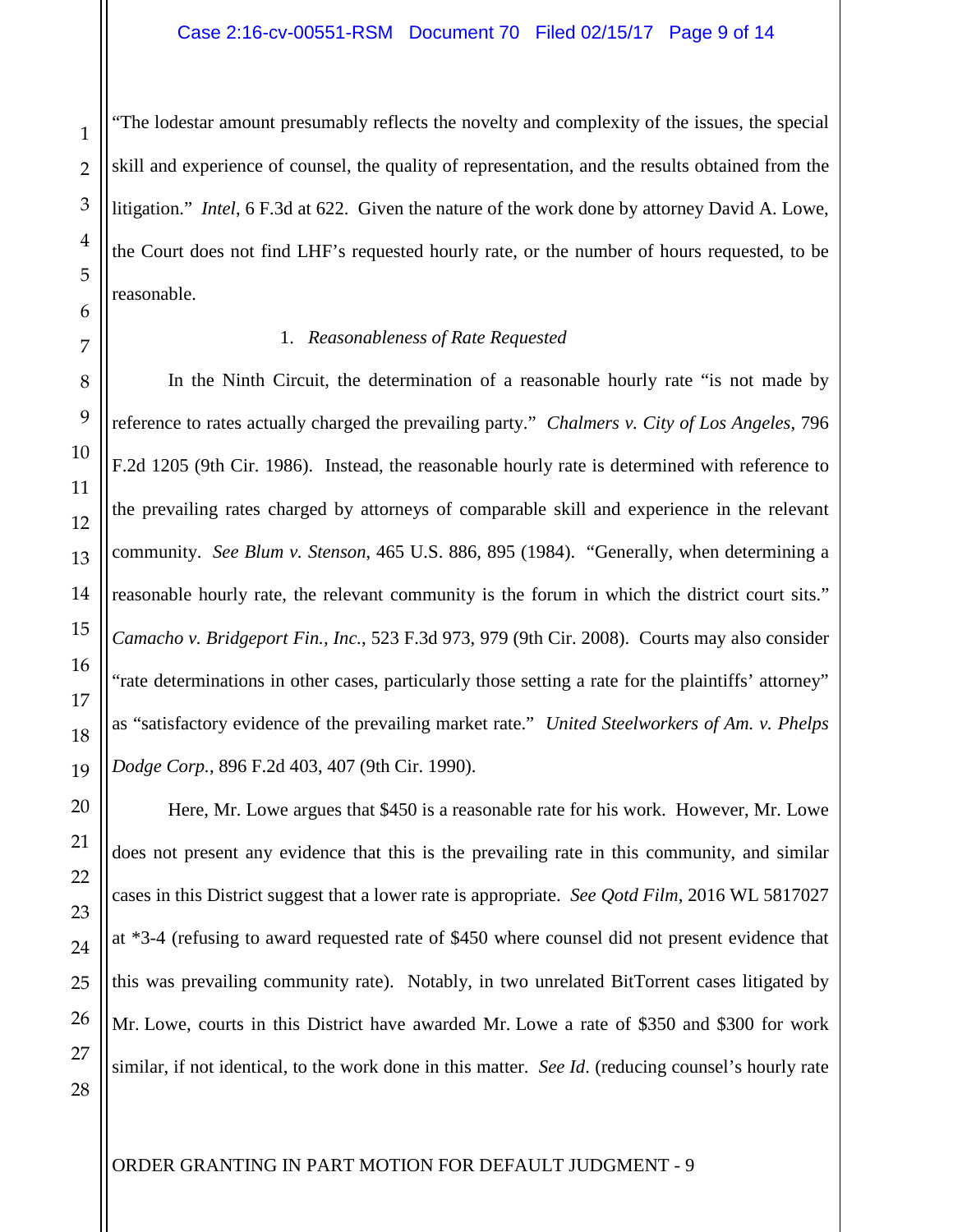"The lodestar amount presumably reflects the novelty and complexity of the issues, the special skill and experience of counsel, the quality of representation, and the results obtained from the litigation." *Intel*, 6 F.3d at 622. Given the nature of the work done by attorney David A. Lowe, the Court does not find LHF's requested hourly rate, or the number of hours requested, to be reasonable.

### 1. *Reasonableness of Rate Requested*

In the Ninth Circuit, the determination of a reasonable hourly rate "is not made by reference to rates actually charged the prevailing party." *Chalmers v. City of Los Angeles*, 796 F.2d 1205 (9th Cir. 1986). Instead, the reasonable hourly rate is determined with reference to the prevailing rates charged by attorneys of comparable skill and experience in the relevant community. *See Blum v. Stenson*, 465 U.S. 886, 895 (1984). "Generally, when determining a reasonable hourly rate, the relevant community is the forum in which the district court sits." *Camacho v. Bridgeport Fin., Inc.*, 523 F.3d 973, 979 (9th Cir. 2008). Courts may also consider "rate determinations in other cases, particularly those setting a rate for the plaintiffs' attorney" as "satisfactory evidence of the prevailing market rate." *United Steelworkers of Am. v. Phelps Dodge Corp.*, 896 F.2d 403, 407 (9th Cir. 1990).

Here, Mr. Lowe argues that \$450 is a reasonable rate for his work. However, Mr. Lowe does not present any evidence that this is the prevailing rate in this community, and similar cases in this District suggest that a lower rate is appropriate. *See Qotd Film*, 2016 WL 5817027 at \*3-4 (refusing to award requested rate of \$450 where counsel did not present evidence that this was prevailing community rate). Notably, in two unrelated BitTorrent cases litigated by Mr. Lowe, courts in this District have awarded Mr. Lowe a rate of \$350 and \$300 for work similar, if not identical, to the work done in this matter. *See Id*. (reducing counsel's hourly rate

1

2

3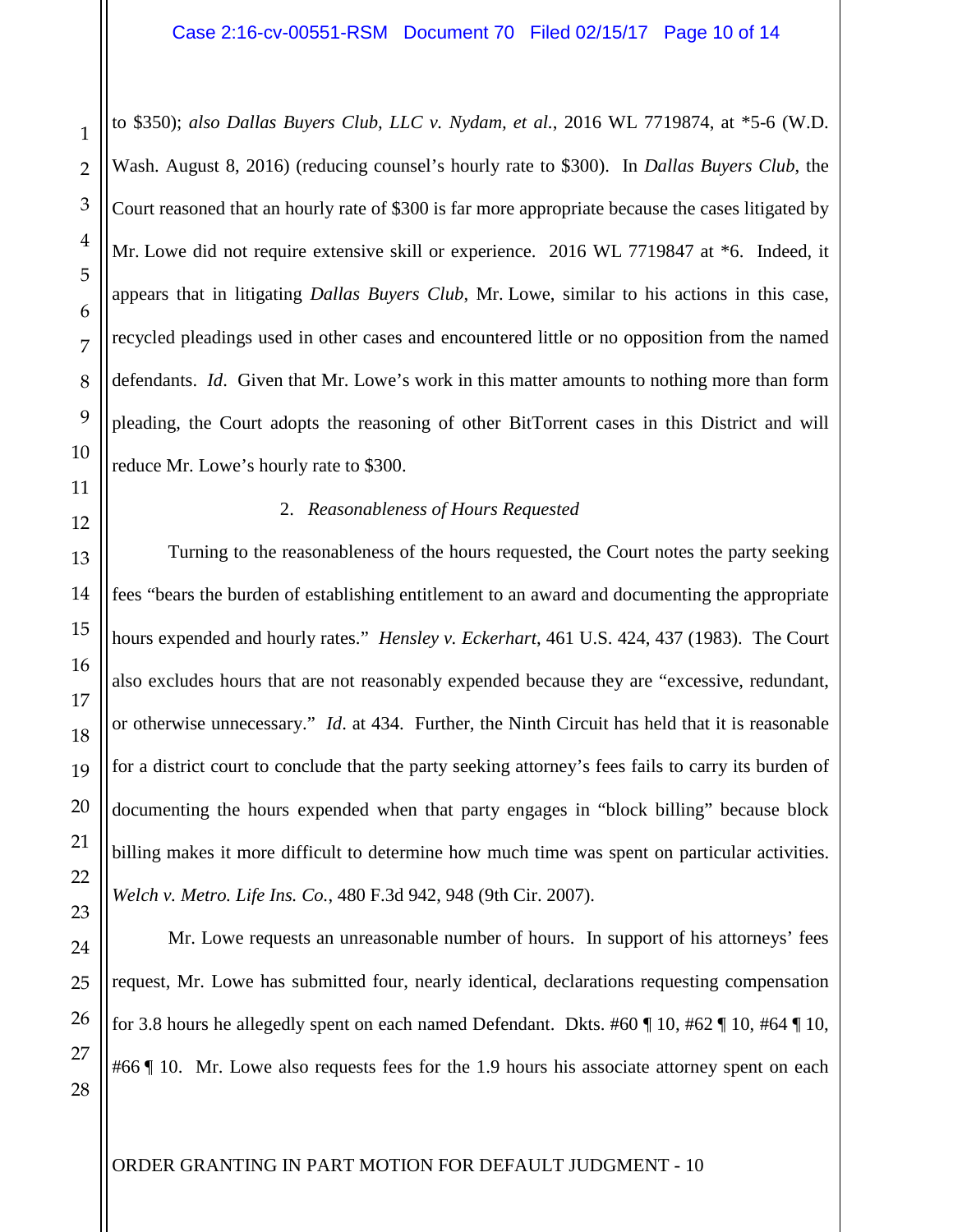to \$350); *also Dallas Buyers Club, LLC v. Nydam, et al.*, 2016 WL 7719874, at \*5-6 (W.D. Wash. August 8, 2016) (reducing counsel's hourly rate to \$300). In *Dallas Buyers Club*, the Court reasoned that an hourly rate of \$300 is far more appropriate because the cases litigated by Mr. Lowe did not require extensive skill or experience. 2016 WL 7719847 at \*6. Indeed, it appears that in litigating *Dallas Buyers Club*, Mr. Lowe, similar to his actions in this case, recycled pleadings used in other cases and encountered little or no opposition from the named defendants. *Id*. Given that Mr. Lowe's work in this matter amounts to nothing more than form pleading, the Court adopts the reasoning of other BitTorrent cases in this District and will reduce Mr. Lowe's hourly rate to \$300.

# 2. *Reasonableness of Hours Requested*

Turning to the reasonableness of the hours requested, the Court notes the party seeking fees "bears the burden of establishing entitlement to an award and documenting the appropriate hours expended and hourly rates." *Hensley v. Eckerhart*, 461 U.S. 424, 437 (1983). The Court also excludes hours that are not reasonably expended because they are "excessive, redundant, or otherwise unnecessary." *Id*. at 434. Further, the Ninth Circuit has held that it is reasonable for a district court to conclude that the party seeking attorney's fees fails to carry its burden of documenting the hours expended when that party engages in "block billing" because block billing makes it more difficult to determine how much time was spent on particular activities. *Welch v. Metro. Life Ins. Co.*, 480 F.3d 942, 948 (9th Cir. 2007).

Mr. Lowe requests an unreasonable number of hours. In support of his attorneys' fees request, Mr. Lowe has submitted four, nearly identical, declarations requesting compensation for 3.8 hours he allegedly spent on each named Defendant. Dkts. #60  $\P$  10, #62  $\P$  10, #64  $\P$  10, #66 | 10. Mr. Lowe also requests fees for the 1.9 hours his associate attorney spent on each

1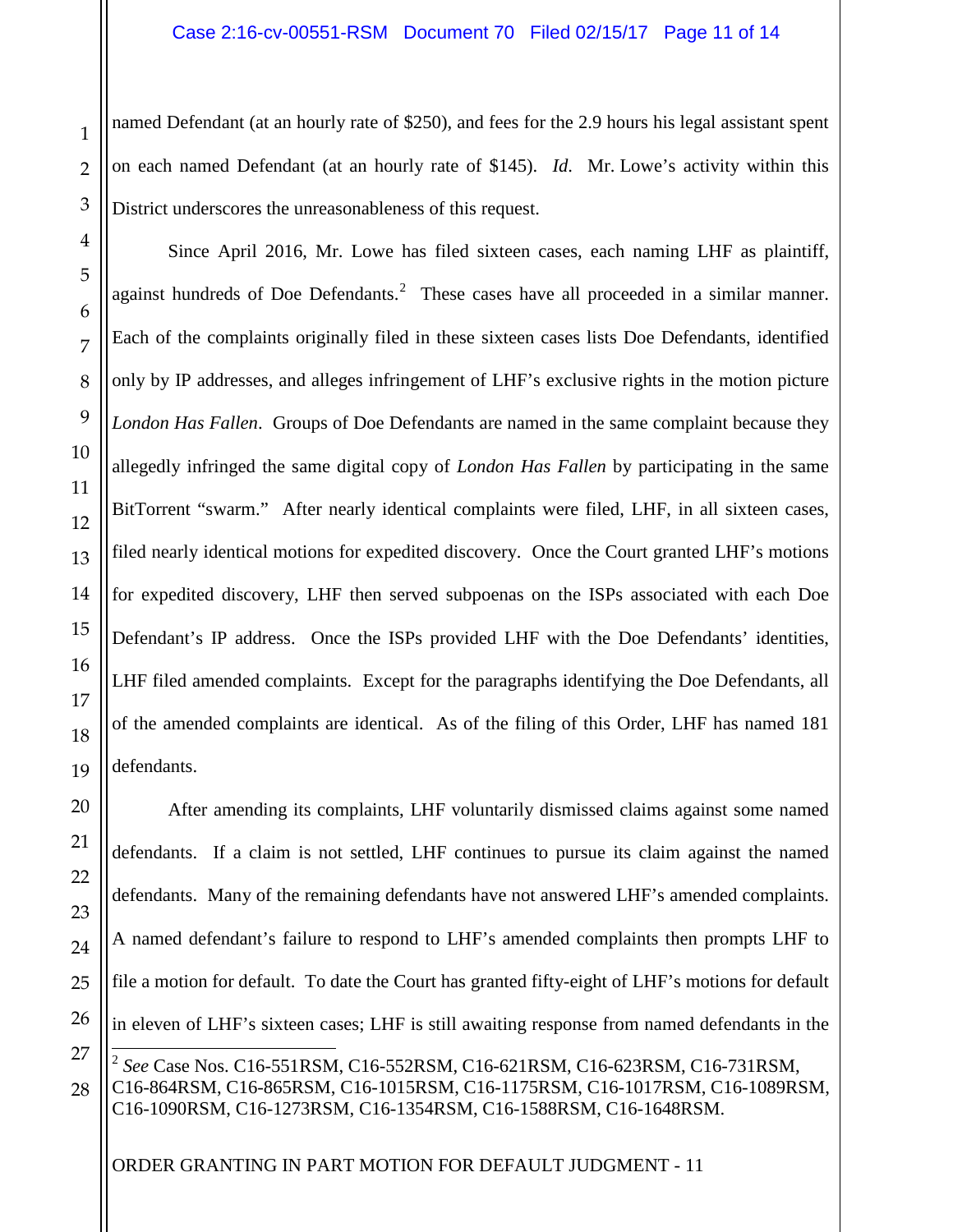named Defendant (at an hourly rate of \$250), and fees for the 2.9 hours his legal assistant spent on each named Defendant (at an hourly rate of \$145). *Id*. Mr. Lowe's activity within this District underscores the unreasonableness of this request.

Since April 2016, Mr. Lowe has filed sixteen cases, each naming LHF as plaintiff, against hundreds of Doe Defendants.<sup>[2](#page-1-0)</sup> These cases have all proceeded in a similar manner. Each of the complaints originally filed in these sixteen cases lists Doe Defendants, identified only by IP addresses, and alleges infringement of LHF's exclusive rights in the motion picture *London Has Fallen*. Groups of Doe Defendants are named in the same complaint because they allegedly infringed the same digital copy of *London Has Fallen* by participating in the same BitTorrent "swarm." After nearly identical complaints were filed, LHF, in all sixteen cases, filed nearly identical motions for expedited discovery. Once the Court granted LHF's motions for expedited discovery, LHF then served subpoenas on the ISPs associated with each Doe Defendant's IP address. Once the ISPs provided LHF with the Doe Defendants' identities, LHF filed amended complaints. Except for the paragraphs identifying the Doe Defendants, all of the amended complaints are identical. As of the filing of this Order, LHF has named 181 defendants.

After amending its complaints, LHF voluntarily dismissed claims against some named defendants. If a claim is not settled, LHF continues to pursue its claim against the named defendants. Many of the remaining defendants have not answered LHF's amended complaints. A named defendant's failure to respond to LHF's amended complaints then prompts LHF to file a motion for default. To date the Court has granted fifty-eight of LHF's motions for default in eleven of LHF's sixteen cases; LHF is still awaiting response from named defendants in the  $\overline{a}$ <sup>2</sup> *See* Case Nos. C16-551RSM, C16-552RSM, C16-621RSM, C16-623RSM, C16-731RSM, C16-864RSM, C16-865RSM, C16-1015RSM, C16-1175RSM, C16-1017RSM, C16-1089RSM,

C16-1090RSM, C16-1273RSM, C16-1354RSM, C16-1588RSM, C16-1648RSM.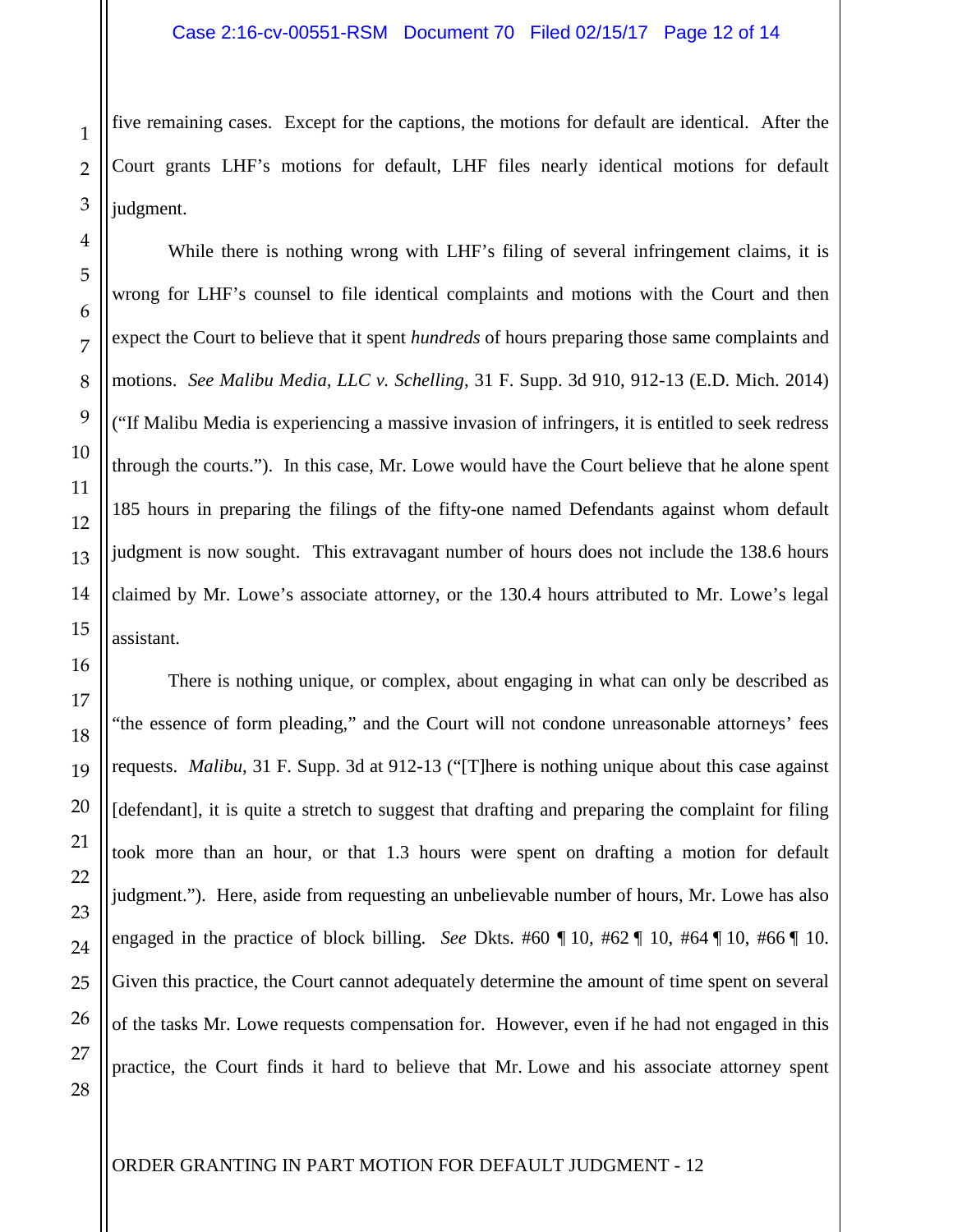five remaining cases. Except for the captions, the motions for default are identical. After the Court grants LHF's motions for default, LHF files nearly identical motions for default judgment.

While there is nothing wrong with LHF's filing of several infringement claims, it is wrong for LHF's counsel to file identical complaints and motions with the Court and then expect the Court to believe that it spent *hundreds* of hours preparing those same complaints and motions. *See Malibu Media, LLC v. Schelling*, 31 F. Supp. 3d 910, 912-13 (E.D. Mich. 2014) ("If Malibu Media is experiencing a massive invasion of infringers, it is entitled to seek redress through the courts."). In this case, Mr. Lowe would have the Court believe that he alone spent 185 hours in preparing the filings of the fifty-one named Defendants against whom default judgment is now sought. This extravagant number of hours does not include the 138.6 hours claimed by Mr. Lowe's associate attorney, or the 130.4 hours attributed to Mr. Lowe's legal assistant.

There is nothing unique, or complex, about engaging in what can only be described as "the essence of form pleading," and the Court will not condone unreasonable attorneys' fees requests. *Malibu*, 31 F. Supp. 3d at 912-13 ("[T]here is nothing unique about this case against [defendant], it is quite a stretch to suggest that drafting and preparing the complaint for filing took more than an hour, or that 1.3 hours were spent on drafting a motion for default judgment."). Here, aside from requesting an unbelievable number of hours, Mr. Lowe has also engaged in the practice of block billing. *See* Dkts. #60 ¶ 10, #62 ¶ 10, #64 ¶ 10, #66 ¶ 10. Given this practice, the Court cannot adequately determine the amount of time spent on several of the tasks Mr. Lowe requests compensation for. However, even if he had not engaged in this practice, the Court finds it hard to believe that Mr. Lowe and his associate attorney spent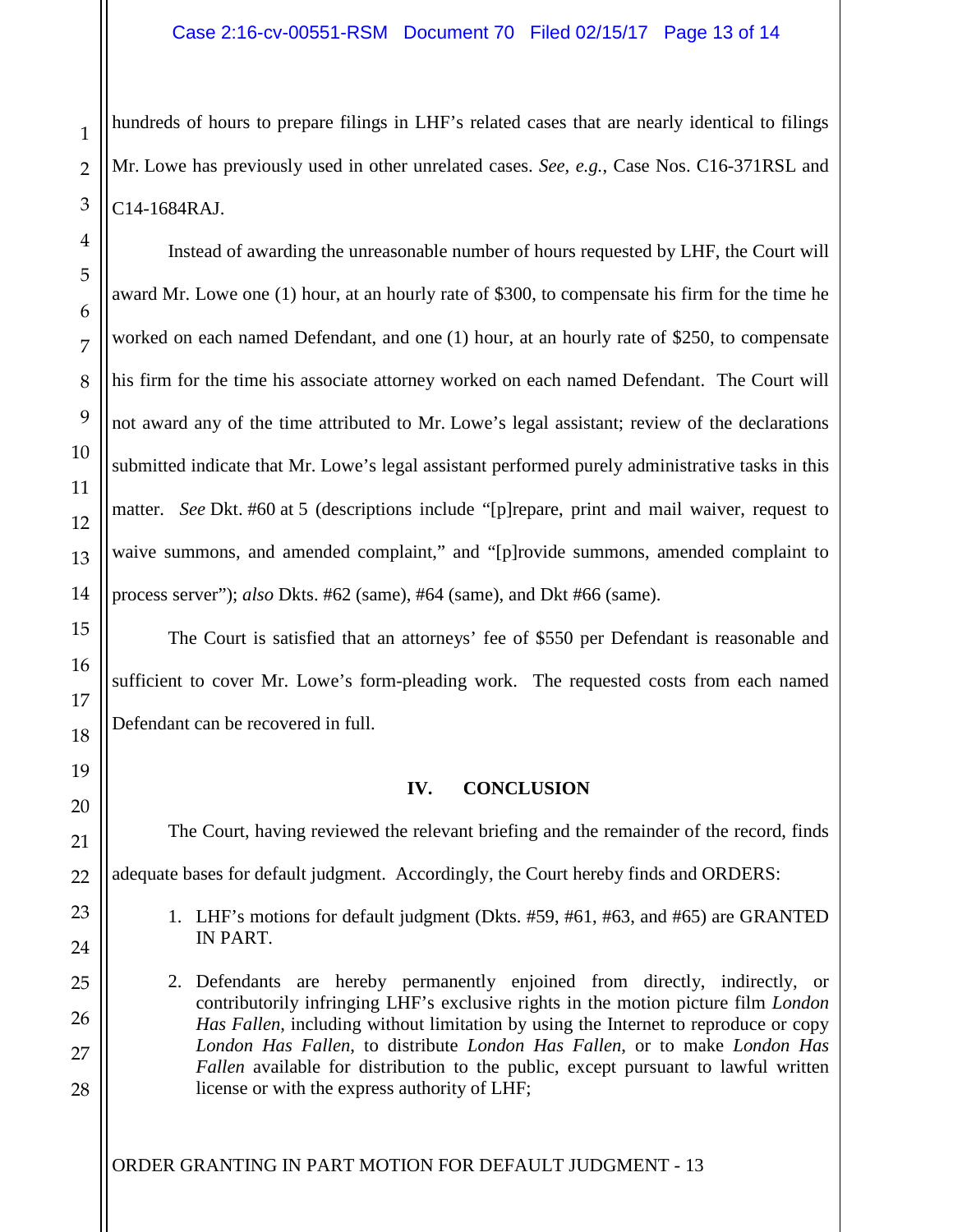hundreds of hours to prepare filings in LHF's related cases that are nearly identical to filings Mr. Lowe has previously used in other unrelated cases. *See, e.g.*, Case Nos. C16-371RSL and C14-1684RAJ.

Instead of awarding the unreasonable number of hours requested by LHF, the Court will award Mr. Lowe one (1) hour, at an hourly rate of \$300, to compensate his firm for the time he worked on each named Defendant, and one (1) hour, at an hourly rate of \$250, to compensate his firm for the time his associate attorney worked on each named Defendant. The Court will not award any of the time attributed to Mr. Lowe's legal assistant; review of the declarations submitted indicate that Mr. Lowe's legal assistant performed purely administrative tasks in this matter. *See* Dkt. #60 at 5 (descriptions include "[p]repare, print and mail waiver, request to waive summons, and amended complaint," and "[p]rovide summons, amended complaint to process server"); *also* Dkts. #62 (same), #64 (same), and Dkt #66 (same).

The Court is satisfied that an attorneys' fee of \$550 per Defendant is reasonable and sufficient to cover Mr. Lowe's form-pleading work. The requested costs from each named Defendant can be recovered in full.

## **IV. CONCLUSION**

The Court, having reviewed the relevant briefing and the remainder of the record, finds adequate bases for default judgment. Accordingly, the Court hereby finds and ORDERS:

- 1. LHF's motions for default judgment (Dkts. #59, #61, #63, and #65) are GRANTED IN PART.
- 2. Defendants are hereby permanently enjoined from directly, indirectly, or contributorily infringing LHF's exclusive rights in the motion picture film *London Has Fallen*, including without limitation by using the Internet to reproduce or copy *London Has Fallen*, to distribute *London Has Fallen*, or to make *London Has Fallen* available for distribution to the public, except pursuant to lawful written license or with the express authority of LHF;